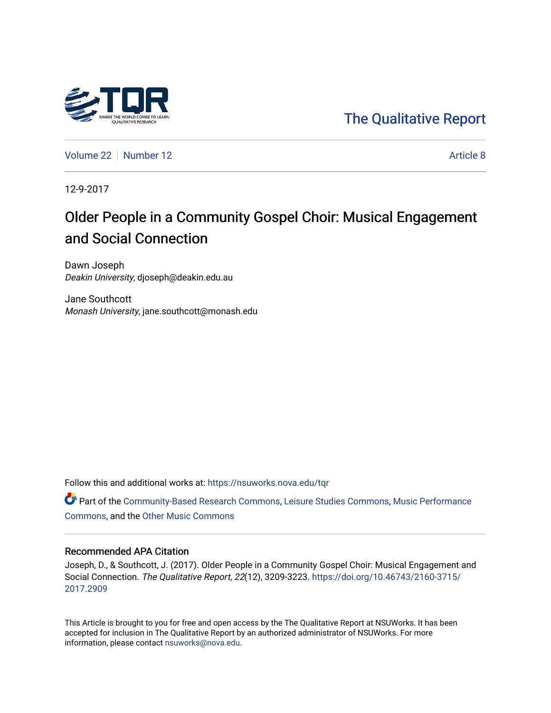## [The Qualitative Report](https://nsuworks.nova.edu/tqr)

[Volume 22](https://nsuworks.nova.edu/tqr/vol22) [Number 12](https://nsuworks.nova.edu/tqr/vol22/iss12) Article 8

12-9-2017

## Older People in a Community Gospel Choir: Musical Engagement and Social Connection

Dawn Joseph Deakin University, djoseph@deakin.edu.au

Jane Southcott Monash University, jane.southcott@monash.edu

Follow this and additional works at: [https://nsuworks.nova.edu/tqr](https://nsuworks.nova.edu/tqr?utm_source=nsuworks.nova.edu%2Ftqr%2Fvol22%2Fiss12%2F8&utm_medium=PDF&utm_campaign=PDFCoverPages) 

Part of the [Community-Based Research Commons](http://network.bepress.com/hgg/discipline/1047?utm_source=nsuworks.nova.edu%2Ftqr%2Fvol22%2Fiss12%2F8&utm_medium=PDF&utm_campaign=PDFCoverPages), [Leisure Studies Commons,](http://network.bepress.com/hgg/discipline/1197?utm_source=nsuworks.nova.edu%2Ftqr%2Fvol22%2Fiss12%2F8&utm_medium=PDF&utm_campaign=PDFCoverPages) [Music Performance](http://network.bepress.com/hgg/discipline/1128?utm_source=nsuworks.nova.edu%2Ftqr%2Fvol22%2Fiss12%2F8&utm_medium=PDF&utm_campaign=PDFCoverPages) [Commons](http://network.bepress.com/hgg/discipline/1128?utm_source=nsuworks.nova.edu%2Ftqr%2Fvol22%2Fiss12%2F8&utm_medium=PDF&utm_campaign=PDFCoverPages), and the [Other Music Commons](http://network.bepress.com/hgg/discipline/524?utm_source=nsuworks.nova.edu%2Ftqr%2Fvol22%2Fiss12%2F8&utm_medium=PDF&utm_campaign=PDFCoverPages) 

#### Recommended APA Citation

Joseph, D., & Southcott, J. (2017). Older People in a Community Gospel Choir: Musical Engagement and Social Connection. The Qualitative Report, 22(12), 3209-3223. [https://doi.org/10.46743/2160-3715/](https://doi.org/10.46743/2160-3715/2017.2909) [2017.2909](https://doi.org/10.46743/2160-3715/2017.2909) 

This Article is brought to you for free and open access by the The Qualitative Report at NSUWorks. It has been accepted for inclusion in The Qualitative Report by an authorized administrator of NSUWorks. For more information, please contact [nsuworks@nova.edu.](mailto:nsuworks@nova.edu)

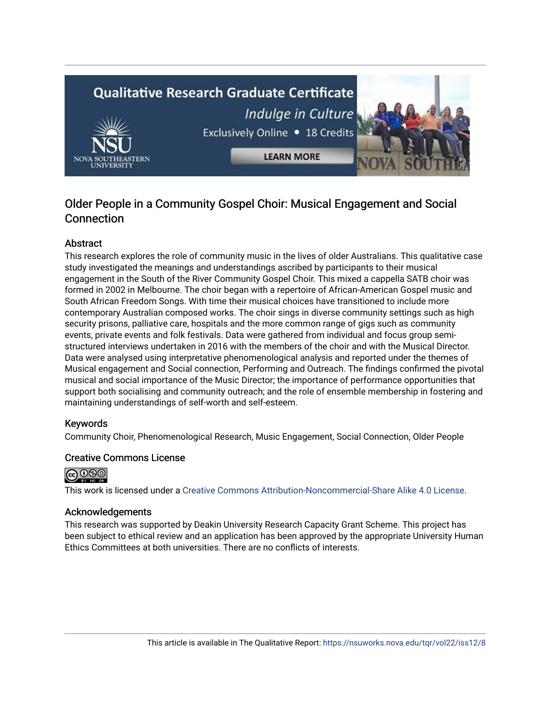# **Qualitative Research Graduate Certificate** Indulge in Culture Exclusively Online . 18 Credits **LEARN MORE**

### Older People in a Community Gospel Choir: Musical Engagement and Social **Connection**

#### **Abstract**

This research explores the role of community music in the lives of older Australians. This qualitative case study investigated the meanings and understandings ascribed by participants to their musical engagement in the South of the River Community Gospel Choir. This mixed a cappella SATB choir was formed in 2002 in Melbourne. The choir began with a repertoire of African-American Gospel music and South African Freedom Songs. With time their musical choices have transitioned to include more contemporary Australian composed works. The choir sings in diverse community settings such as high security prisons, palliative care, hospitals and the more common range of gigs such as community events, private events and folk festivals. Data were gathered from individual and focus group semistructured interviews undertaken in 2016 with the members of the choir and with the Musical Director. Data were analysed using interpretative phenomenological analysis and reported under the themes of Musical engagement and Social connection, Performing and Outreach. The findings confirmed the pivotal musical and social importance of the Music Director; the importance of performance opportunities that support both socialising and community outreach; and the role of ensemble membership in fostering and maintaining understandings of self-worth and self-esteem.

#### Keywords

Community Choir, Phenomenological Research, Music Engagement, Social Connection, Older People

#### Creative Commons License



This work is licensed under a [Creative Commons Attribution-Noncommercial-Share Alike 4.0 License](https://creativecommons.org/licenses/by-nc-sa/4.0/).

#### Acknowledgements

This research was supported by Deakin University Research Capacity Grant Scheme. This project has been subject to ethical review and an application has been approved by the appropriate University Human Ethics Committees at both universities. There are no conflicts of interests.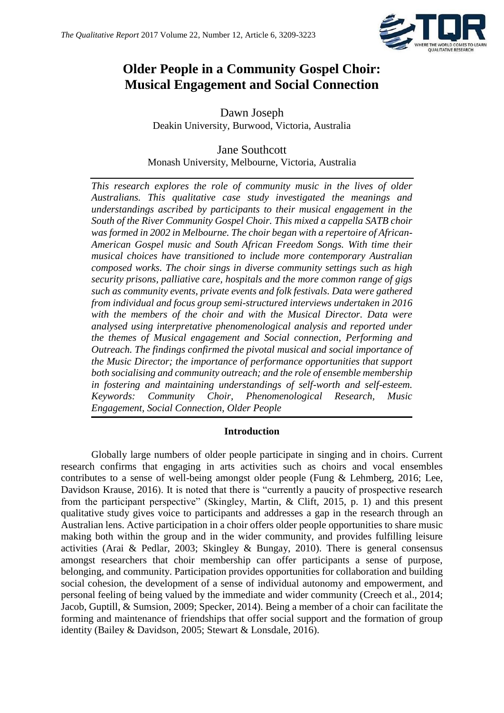

## **Older People in a Community Gospel Choir: Musical Engagement and Social Connection**

Dawn Joseph Deakin University, Burwood, Victoria, Australia

#### Jane Southcott Monash University, Melbourne, Victoria, Australia

*This research explores the role of community music in the lives of older Australians. This qualitative case study investigated the meanings and understandings ascribed by participants to their musical engagement in the South of the River Community Gospel Choir. This mixed a cappella SATB choir was formed in 2002 in Melbourne. The choir began with a repertoire of African-American Gospel music and South African Freedom Songs. With time their musical choices have transitioned to include more contemporary Australian composed works. The choir sings in diverse community settings such as high security prisons, palliative care, hospitals and the more common range of gigs such as community events, private events and folk festivals. Data were gathered from individual and focus group semi-structured interviews undertaken in 2016 with the members of the choir and with the Musical Director. Data were analysed using interpretative phenomenological analysis and reported under the themes of Musical engagement and Social connection, Performing and Outreach. The findings confirmed the pivotal musical and social importance of the Music Director; the importance of performance opportunities that support both socialising and community outreach; and the role of ensemble membership in fostering and maintaining understandings of self-worth and self-esteem. Keywords: Community Choir, Phenomenological Research, Music Engagement, Social Connection, Older People*

#### **Introduction**

Globally large numbers of older people participate in singing and in choirs. Current research confirms that engaging in arts activities such as choirs and vocal ensembles contributes to a sense of well-being amongst older people (Fung & Lehmberg, 2016; Lee, Davidson Krause, 2016). It is noted that there is "currently a paucity of prospective research from the participant perspective" (Skingley, Martin, & Clift, 2015, p. 1) and this present qualitative study gives voice to participants and addresses a gap in the research through an Australian lens. Active participation in a choir offers older people opportunities to share music making both within the group and in the wider community, and provides fulfilling leisure activities (Arai & Pedlar, 2003; Skingley & Bungay, 2010). There is general consensus amongst researchers that choir membership can offer participants a sense of purpose, belonging, and community. Participation provides opportunities for collaboration and building social cohesion, the development of a sense of individual autonomy and empowerment, and personal feeling of being valued by the immediate and wider community (Creech et al., 2014; Jacob, Guptill, & Sumsion, 2009; Specker, 2014). Being a member of a choir can facilitate the forming and maintenance of friendships that offer social support and the formation of group identity (Bailey & Davidson, 2005; Stewart & Lonsdale, 2016).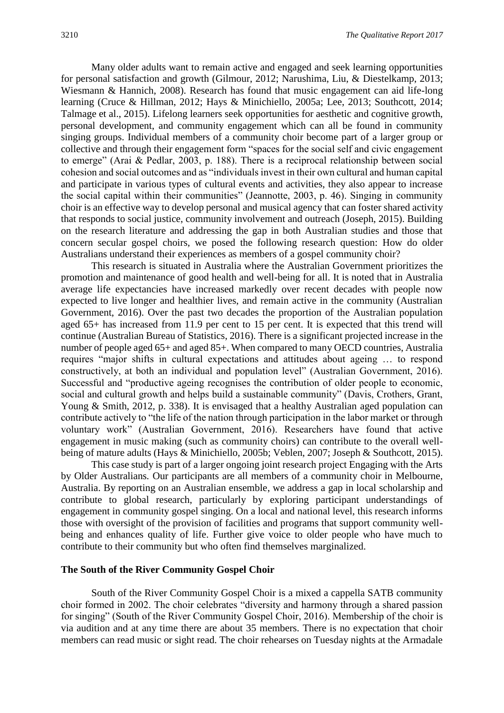Many older adults want to remain active and engaged and seek learning opportunities for personal satisfaction and growth (Gilmour, 2012; Narushima, Liu, & Diestelkamp, 2013; Wiesmann & Hannich, 2008). Research has found that music engagement can aid life-long learning (Cruce & Hillman, 2012; Hays & Minichiello, 2005a; Lee, 2013; Southcott, 2014; Talmage et al., 2015). Lifelong learners seek opportunities for aesthetic and cognitive growth, personal development, and community engagement which can all be found in community singing groups. Individual members of a community choir become part of a larger group or collective and through their engagement form "spaces for the social self and civic engagement to emerge" (Arai & Pedlar, 2003, p. 188). There is a reciprocal relationship between social cohesion and social outcomes and as "individuals invest in their own cultural and human capital and participate in various types of cultural events and activities, they also appear to increase the social capital within their communities" (Jeannotte, 2003, p. 46). Singing in community choir is an effective way to develop personal and musical agency that can foster shared activity that responds to social justice, community involvement and outreach (Joseph, 2015). Building on the research literature and addressing the gap in both Australian studies and those that concern secular gospel choirs, we posed the following research question: How do older Australians understand their experiences as members of a gospel community choir?

This research is situated in Australia where the Australian Government prioritizes the promotion and maintenance of good health and well-being for all. It is noted that in Australia average life expectancies have increased markedly over recent decades with people now expected to live longer and healthier lives, and remain active in the community (Australian Government, 2016). Over the past two decades the proportion of the Australian population aged 65+ has increased from 11.9 per cent to 15 per cent. It is expected that this trend will continue (Australian Bureau of Statistics, 2016). There is a significant projected increase in the number of people aged 65+ and aged 85+. When compared to many OECD countries, Australia requires "major shifts in cultural expectations and attitudes about ageing … to respond constructively, at both an individual and population level" (Australian Government, 2016). Successful and "productive ageing recognises the contribution of older people to economic, social and cultural growth and helps build a sustainable community" (Davis, Crothers, Grant, Young & Smith, 2012, p. 338). It is envisaged that a healthy Australian aged population can contribute actively to "the life of the nation through participation in the labor market or through voluntary work" (Australian Government, 2016). Researchers have found that active engagement in music making (such as community choirs) can contribute to the overall wellbeing of mature adults (Hays & Minichiello, 2005b; Veblen, 2007; Joseph & Southcott, 2015).

This case study is part of a larger ongoing joint research project Engaging with the Arts by Older Australians*.* Our participants are all members of a community choir in Melbourne, Australia. By reporting on an Australian ensemble, we address a gap in local scholarship and contribute to global research, particularly by exploring participant understandings of engagement in community gospel singing. On a local and national level, this research informs those with oversight of the provision of facilities and programs that support community wellbeing and enhances quality of life. Further give voice to older people who have much to contribute to their community but who often find themselves marginalized.

#### **The South of the River Community Gospel Choir**

South of the River Community Gospel Choir is a mixed a cappella SATB community choir formed in 2002. The choir celebrates "diversity and harmony through a shared passion for singing" (South of the River Community Gospel Choir, 2016). Membership of the choir is via audition and at any time there are about 35 members. There is no expectation that choir members can read music or sight read. The choir rehearses on Tuesday nights at the Armadale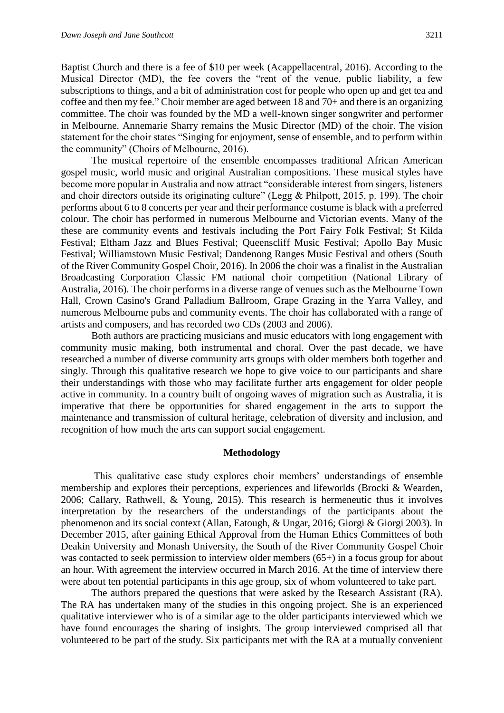Baptist Church and there is a fee of \$10 per week (Acappellacentral, 2016). According to the Musical Director (MD), the fee covers the "rent of the venue, public liability, a few subscriptions to things, and a bit of administration cost for people who open up and get tea and coffee and then my fee." Choir member are aged between 18 and 70+ and there is an organizing committee. The choir was founded by the MD a well-known singer songwriter and performer in Melbourne. Annemarie Sharry remains the Music Director (MD) of the choir. The vision statement for the choir states "Singing for enjoyment, sense of ensemble, and to perform within the community" (Choirs of Melbourne, 2016).

The musical repertoire of the ensemble encompasses traditional African American gospel music, world music and original Australian compositions. These musical styles have become more popular in Australia and now attract "considerable interest from singers, listeners and choir directors outside its originating culture" (Legg & Philpott, 2015, p. 199). The choir performs about 6 to 8 concerts per year and their performance costume is black with a preferred colour. The choir has performed in numerous Melbourne and Victorian events. Many of the these are community events and festivals including the Port Fairy Folk Festival; St Kilda Festival; Eltham Jazz and Blues Festival; Queenscliff Music Festival; Apollo Bay Music Festival; Williamstown Music Festival; Dandenong Ranges Music Festival and others (South of the River Community Gospel Choir, 2016). In 2006 the choir was a finalist in the Australian Broadcasting Corporation Classic FM national choir competition (National Library of Australia, 2016). The choir performs in a diverse range of venues such as the Melbourne Town Hall, Crown Casino's Grand Palladium Ballroom, Grape Grazing in the Yarra Valley, and numerous Melbourne pubs and community events. The choir has collaborated with a range of artists and composers, and has recorded two CDs (2003 and 2006).

Both authors are practicing musicians and music educators with long engagement with community music making, both instrumental and choral. Over the past decade, we have researched a number of diverse community arts groups with older members both together and singly. Through this qualitative research we hope to give voice to our participants and share their understandings with those who may facilitate further arts engagement for older people active in community. In a country built of ongoing waves of migration such as Australia, it is imperative that there be opportunities for shared engagement in the arts to support the maintenance and transmission of cultural heritage, celebration of diversity and inclusion, and recognition of how much the arts can support social engagement.

#### **Methodology**

This qualitative case study explores choir members' understandings of ensemble membership and explores their perceptions, experiences and lifeworlds (Brocki & Wearden, 2006; Callary, Rathwell, & Young, 2015). This research is hermeneutic thus it involves interpretation by the researchers of the understandings of the participants about the phenomenon and its social context (Allan, Eatough, & Ungar, 2016; Giorgi & Giorgi 2003). In December 2015, after gaining Ethical Approval from the Human Ethics Committees of both Deakin University and Monash University, the South of the River Community Gospel Choir was contacted to seek permission to interview older members (65+) in a focus group for about an hour. With agreement the interview occurred in March 2016. At the time of interview there were about ten potential participants in this age group, six of whom volunteered to take part.

The authors prepared the questions that were asked by the Research Assistant (RA). The RA has undertaken many of the studies in this ongoing project. She is an experienced qualitative interviewer who is of a similar age to the older participants interviewed which we have found encourages the sharing of insights. The group interviewed comprised all that volunteered to be part of the study. Six participants met with the RA at a mutually convenient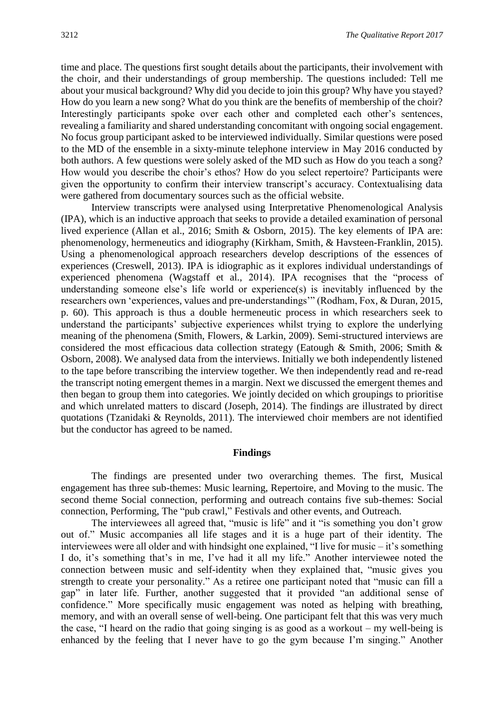time and place. The questions first sought details about the participants, their involvement with the choir, and their understandings of group membership. The questions included: Tell me about your musical background? Why did you decide to join this group? Why have you stayed? How do you learn a new song? What do you think are the benefits of membership of the choir? Interestingly participants spoke over each other and completed each other's sentences, revealing a familiarity and shared understanding concomitant with ongoing social engagement. No focus group participant asked to be interviewed individually. Similar questions were posed to the MD of the ensemble in a sixty-minute telephone interview in May 2016 conducted by both authors. A few questions were solely asked of the MD such as How do you teach a song? How would you describe the choir's ethos? How do you select repertoire? Participants were given the opportunity to confirm their interview transcript's accuracy. Contextualising data were gathered from documentary sources such as the official website.

Interview transcripts were analysed using Interpretative Phenomenological Analysis (IPA), which is an inductive approach that seeks to provide a detailed examination of personal lived experience (Allan et al., 2016; Smith & Osborn, 2015). The key elements of IPA are: phenomenology, hermeneutics and idiography (Kirkham, Smith, & Havsteen-Franklin, 2015). Using a phenomenological approach researchers develop descriptions of the essences of experiences (Creswell, 2013). IPA is idiographic as it explores individual understandings of experienced phenomena (Wagstaff et al., 2014). IPA recognises that the "process of understanding someone else's life world or experience(s) is inevitably influenced by the researchers own 'experiences, values and pre-understandings'" (Rodham, Fox, & Duran, 2015, p. 60). This approach is thus a double hermeneutic process in which researchers seek to understand the participants' subjective experiences whilst trying to explore the underlying meaning of the phenomena (Smith, Flowers, & Larkin, 2009). Semi-structured interviews are considered the most efficacious data collection strategy (Eatough & Smith, 2006; Smith & Osborn, 2008). We analysed data from the interviews. Initially we both independently listened to the tape before transcribing the interview together. We then independently read and re-read the transcript noting emergent themes in a margin. Next we discussed the emergent themes and then began to group them into categories. We jointly decided on which groupings to prioritise and which unrelated matters to discard (Joseph, 2014). The findings are illustrated by direct quotations (Tzanidaki & Reynolds, 2011). The interviewed choir members are not identified but the conductor has agreed to be named.

#### **Findings**

The findings are presented under two overarching themes. The first, Musical engagement has three sub-themes: Music learning, Repertoire, and Moving to the music. The second theme Social connection, performing and outreach contains five sub-themes: Social connection, Performing, The "pub crawl," Festivals and other events, and Outreach.

The interviewees all agreed that, "music is life" and it "is something you don't grow out of." Music accompanies all life stages and it is a huge part of their identity. The interviewees were all older and with hindsight one explained, "I live for music – it's something I do, it's something that's in me, I've had it all my life." Another interviewee noted the connection between music and self-identity when they explained that, "music gives you strength to create your personality." As a retiree one participant noted that "music can fill a gap" in later life. Further, another suggested that it provided "an additional sense of confidence." More specifically music engagement was noted as helping with breathing, memory, and with an overall sense of well-being. One participant felt that this was very much the case, "I heard on the radio that going singing is as good as a workout – my well-being is enhanced by the feeling that I never have to go the gym because I'm singing." Another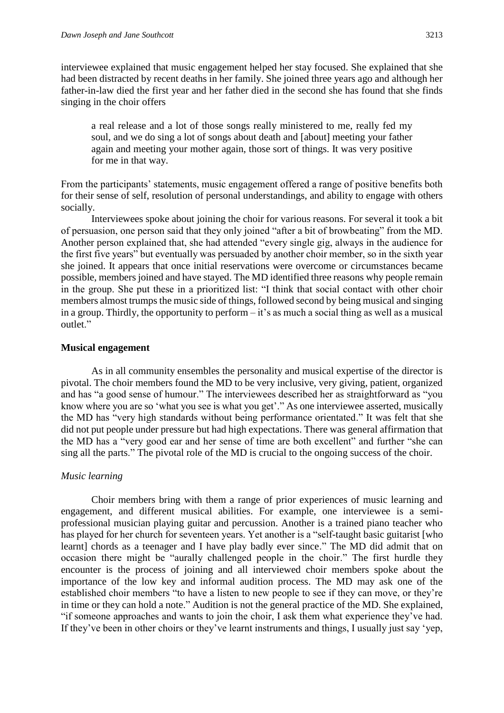interviewee explained that music engagement helped her stay focused. She explained that she had been distracted by recent deaths in her family. She joined three years ago and although her father-in-law died the first year and her father died in the second she has found that she finds singing in the choir offers

a real release and a lot of those songs really ministered to me, really fed my soul, and we do sing a lot of songs about death and [about] meeting your father again and meeting your mother again, those sort of things. It was very positive for me in that way.

From the participants' statements, music engagement offered a range of positive benefits both for their sense of self, resolution of personal understandings, and ability to engage with others socially.

Interviewees spoke about joining the choir for various reasons. For several it took a bit of persuasion, one person said that they only joined "after a bit of browbeating" from the MD. Another person explained that, she had attended "every single gig, always in the audience for the first five years" but eventually was persuaded by another choir member, so in the sixth year she joined. It appears that once initial reservations were overcome or circumstances became possible, members joined and have stayed. The MD identified three reasons why people remain in the group. She put these in a prioritized list: "I think that social contact with other choir members almost trumps the music side of things, followed second by being musical and singing in a group. Thirdly, the opportunity to perform – it's as much a social thing as well as a musical outlet."

#### **Musical engagement**

As in all community ensembles the personality and musical expertise of the director is pivotal. The choir members found the MD to be very inclusive, very giving, patient, organized and has "a good sense of humour." The interviewees described her as straightforward as "you know where you are so 'what you see is what you get'." As one interviewee asserted, musically the MD has "very high standards without being performance orientated." It was felt that she did not put people under pressure but had high expectations. There was general affirmation that the MD has a "very good ear and her sense of time are both excellent" and further "she can sing all the parts." The pivotal role of the MD is crucial to the ongoing success of the choir.

#### *Music learning*

Choir members bring with them a range of prior experiences of music learning and engagement, and different musical abilities. For example, one interviewee is a semiprofessional musician playing guitar and percussion. Another is a trained piano teacher who has played for her church for seventeen years. Yet another is a "self-taught basic guitarist [who learnt] chords as a teenager and I have play badly ever since." The MD did admit that on occasion there might be "aurally challenged people in the choir." The first hurdle they encounter is the process of joining and all interviewed choir members spoke about the importance of the low key and informal audition process. The MD may ask one of the established choir members "to have a listen to new people to see if they can move, or they're in time or they can hold a note." Audition is not the general practice of the MD. She explained, "if someone approaches and wants to join the choir, I ask them what experience they've had. If they've been in other choirs or they've learnt instruments and things, I usually just say 'yep,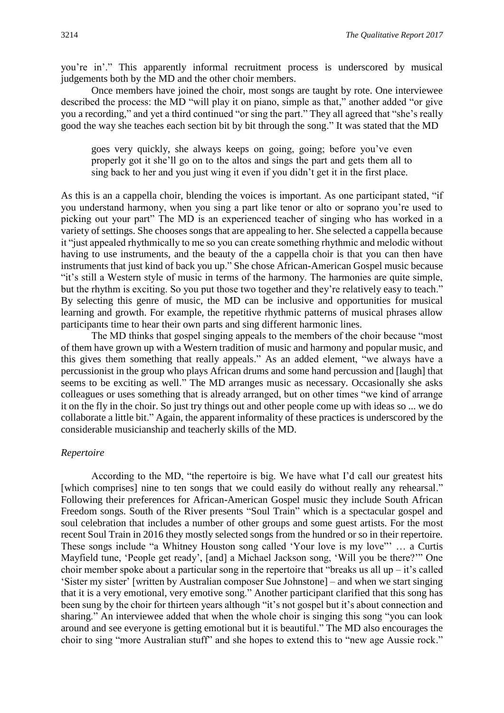you're in'." This apparently informal recruitment process is underscored by musical judgements both by the MD and the other choir members.

Once members have joined the choir, most songs are taught by rote. One interviewee described the process: the MD "will play it on piano, simple as that," another added "or give you a recording," and yet a third continued "or sing the part." They all agreed that "she's really good the way she teaches each section bit by bit through the song." It was stated that the MD

goes very quickly, she always keeps on going, going; before you've even properly got it she'll go on to the altos and sings the part and gets them all to sing back to her and you just wing it even if you didn't get it in the first place.

As this is an a cappella choir, blending the voices is important. As one participant stated, "if you understand harmony, when you sing a part like tenor or alto or soprano you're used to picking out your part" The MD is an experienced teacher of singing who has worked in a variety of settings. She chooses songs that are appealing to her. She selected a cappella because it "just appealed rhythmically to me so you can create something rhythmic and melodic without having to use instruments, and the beauty of the a cappella choir is that you can then have instruments that just kind of back you up." She chose African-American Gospel music because "it's still a Western style of music in terms of the harmony. The harmonies are quite simple, but the rhythm is exciting. So you put those two together and they're relatively easy to teach." By selecting this genre of music, the MD can be inclusive and opportunities for musical learning and growth. For example, the repetitive rhythmic patterns of musical phrases allow participants time to hear their own parts and sing different harmonic lines.

The MD thinks that gospel singing appeals to the members of the choir because "most of them have grown up with a Western tradition of music and harmony and popular music, and this gives them something that really appeals." As an added element, "we always have a percussionist in the group who plays African drums and some hand percussion and [laugh] that seems to be exciting as well." The MD arranges music as necessary. Occasionally she asks colleagues or uses something that is already arranged, but on other times "we kind of arrange it on the fly in the choir. So just try things out and other people come up with ideas so ... we do collaborate a little bit." Again, the apparent informality of these practices is underscored by the considerable musicianship and teacherly skills of the MD.

#### *Repertoire*

According to the MD, "the repertoire is big. We have what I'd call our greatest hits [which comprises] nine to ten songs that we could easily do without really any rehearsal." Following their preferences for African-American Gospel music they include South African Freedom songs. South of the River presents "Soul Train" which is a spectacular gospel and soul celebration that includes a number of other groups and some guest artists. For the most recent Soul Train in 2016 they mostly selected songs from the hundred or so in their repertoire. These songs include "a Whitney Houston song called 'Your love is my love"' … a Curtis Mayfield tune, 'People get ready', [and] a Michael Jackson song, 'Will you be there?'" One choir member spoke about a particular song in the repertoire that "breaks us all up  $-$  it's called 'Sister my sister' [written by Australian composer Sue Johnstone] – and when we start singing that it is a very emotional, very emotive song." Another participant clarified that this song has been sung by the choir for thirteen years although "it's not gospel but it's about connection and sharing." An interviewee added that when the whole choir is singing this song "you can look around and see everyone is getting emotional but it is beautiful." The MD also encourages the choir to sing "more Australian stuff" and she hopes to extend this to "new age Aussie rock."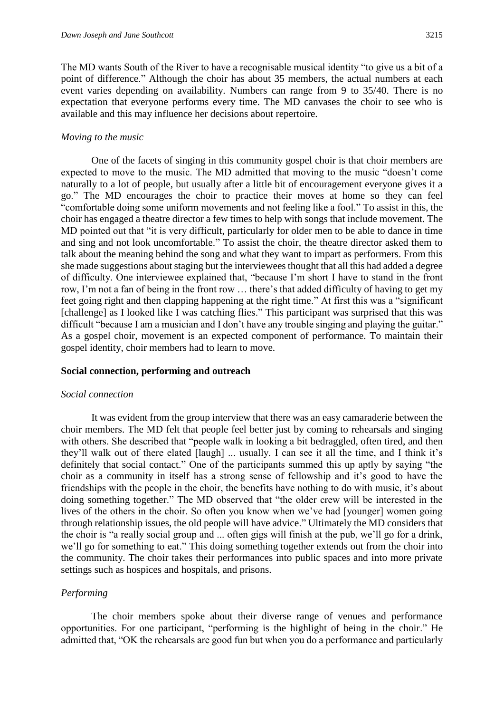The MD wants South of the River to have a recognisable musical identity "to give us a bit of a point of difference." Although the choir has about 35 members, the actual numbers at each event varies depending on availability. Numbers can range from 9 to 35/40. There is no expectation that everyone performs every time. The MD canvases the choir to see who is available and this may influence her decisions about repertoire.

#### *Moving to the music*

One of the facets of singing in this community gospel choir is that choir members are expected to move to the music. The MD admitted that moving to the music "doesn't come naturally to a lot of people, but usually after a little bit of encouragement everyone gives it a go." The MD encourages the choir to practice their moves at home so they can feel "comfortable doing some uniform movements and not feeling like a fool." To assist in this, the choir has engaged a theatre director a few times to help with songs that include movement. The MD pointed out that "it is very difficult, particularly for older men to be able to dance in time and sing and not look uncomfortable." To assist the choir, the theatre director asked them to talk about the meaning behind the song and what they want to impart as performers. From this she made suggestions about staging but the interviewees thought that all this had added a degree of difficulty. One interviewee explained that, "because I'm short I have to stand in the front row, I'm not a fan of being in the front row … there's that added difficulty of having to get my feet going right and then clapping happening at the right time." At first this was a "significant [challenge] as I looked like I was catching flies." This participant was surprised that this was difficult "because I am a musician and I don't have any trouble singing and playing the guitar." As a gospel choir, movement is an expected component of performance. To maintain their gospel identity, choir members had to learn to move.

#### **Social connection, performing and outreach**

#### *Social connection*

It was evident from the group interview that there was an easy camaraderie between the choir members. The MD felt that people feel better just by coming to rehearsals and singing with others. She described that "people walk in looking a bit bedraggled, often tired, and then they'll walk out of there elated [laugh] ... usually. I can see it all the time, and I think it's definitely that social contact." One of the participants summed this up aptly by saying "the choir as a community in itself has a strong sense of fellowship and it's good to have the friendships with the people in the choir, the benefits have nothing to do with music, it's about doing something together." The MD observed that "the older crew will be interested in the lives of the others in the choir. So often you know when we've had [younger] women going through relationship issues, the old people will have advice." Ultimately the MD considers that the choir is "a really social group and ... often gigs will finish at the pub, we'll go for a drink, we'll go for something to eat." This doing something together extends out from the choir into the community. The choir takes their performances into public spaces and into more private settings such as hospices and hospitals, and prisons.

#### *Performing*

The choir members spoke about their diverse range of venues and performance opportunities. For one participant, "performing is the highlight of being in the choir." He admitted that, "OK the rehearsals are good fun but when you do a performance and particularly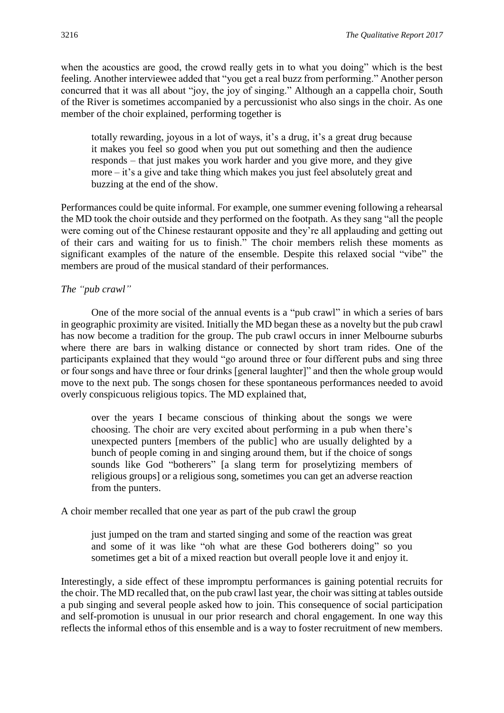when the acoustics are good, the crowd really gets in to what you doing" which is the best feeling. Another interviewee added that "you get a real buzz from performing." Another person concurred that it was all about "joy, the joy of singing." Although an a cappella choir, South of the River is sometimes accompanied by a percussionist who also sings in the choir. As one member of the choir explained, performing together is

totally rewarding, joyous in a lot of ways, it's a drug, it's a great drug because it makes you feel so good when you put out something and then the audience responds – that just makes you work harder and you give more, and they give more – it's a give and take thing which makes you just feel absolutely great and buzzing at the end of the show.

Performances could be quite informal. For example, one summer evening following a rehearsal the MD took the choir outside and they performed on the footpath. As they sang "all the people were coming out of the Chinese restaurant opposite and they're all applauding and getting out of their cars and waiting for us to finish." The choir members relish these moments as significant examples of the nature of the ensemble. Despite this relaxed social "vibe" the members are proud of the musical standard of their performances.

#### *The "pub crawl"*

One of the more social of the annual events is a "pub crawl" in which a series of bars in geographic proximity are visited. Initially the MD began these as a novelty but the pub crawl has now become a tradition for the group. The pub crawl occurs in inner Melbourne suburbs where there are bars in walking distance or connected by short tram rides. One of the participants explained that they would "go around three or four different pubs and sing three or four songs and have three or four drinks [general laughter]" and then the whole group would move to the next pub. The songs chosen for these spontaneous performances needed to avoid overly conspicuous religious topics. The MD explained that,

over the years I became conscious of thinking about the songs we were choosing. The choir are very excited about performing in a pub when there's unexpected punters [members of the public] who are usually delighted by a bunch of people coming in and singing around them, but if the choice of songs sounds like God "botherers" [a slang term for proselytizing members of religious groups] or a religious song, sometimes you can get an adverse reaction from the punters.

A choir member recalled that one year as part of the pub crawl the group

just jumped on the tram and started singing and some of the reaction was great and some of it was like "oh what are these God botherers doing" so you sometimes get a bit of a mixed reaction but overall people love it and enjoy it.

Interestingly, a side effect of these impromptu performances is gaining potential recruits for the choir. The MD recalled that, on the pub crawl last year, the choir was sitting at tables outside a pub singing and several people asked how to join. This consequence of social participation and self-promotion is unusual in our prior research and choral engagement. In one way this reflects the informal ethos of this ensemble and is a way to foster recruitment of new members.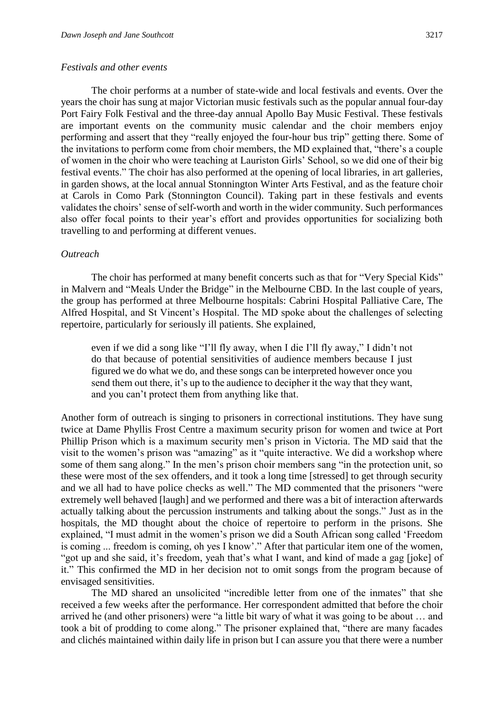#### *Festivals and other events*

The choir performs at a number of state-wide and local festivals and events. Over the years the choir has sung at major Victorian music festivals such as the popular annual four-day Port Fairy Folk Festival and the three-day annual Apollo Bay Music Festival. These festivals are important events on the community music calendar and the choir members enjoy performing and assert that they "really enjoyed the four-hour bus trip" getting there. Some of the invitations to perform come from choir members, the MD explained that, "there's a couple of women in the choir who were teaching at Lauriston Girls' School, so we did one of their big festival events." The choir has also performed at the opening of local libraries, in art galleries, in garden shows, at the local annual Stonnington Winter Arts Festival, and as the feature choir at Carols in Como Park (Stonnington Council). Taking part in these festivals and events validates the choirs' sense of self-worth and worth in the wider community. Such performances also offer focal points to their year's effort and provides opportunities for socializing both travelling to and performing at different venues.

#### *Outreach*

The choir has performed at many benefit concerts such as that for "Very Special Kids" in Malvern and "Meals Under the Bridge" in the Melbourne CBD. In the last couple of years, the group has performed at three Melbourne hospitals: Cabrini Hospital Palliative Care, The Alfred Hospital, and St Vincent's Hospital. The MD spoke about the challenges of selecting repertoire, particularly for seriously ill patients. She explained,

even if we did a song like "I'll fly away, when I die I'll fly away," I didn't not do that because of potential sensitivities of audience members because I just figured we do what we do, and these songs can be interpreted however once you send them out there, it's up to the audience to decipher it the way that they want, and you can't protect them from anything like that.

Another form of outreach is singing to prisoners in correctional institutions. They have sung twice at Dame Phyllis Frost Centre a maximum security prison for women and twice at Port Phillip Prison which is a maximum security men's prison in Victoria. The MD said that the visit to the women's prison was "amazing" as it "quite interactive. We did a workshop where some of them sang along." In the men's prison choir members sang "in the protection unit, so these were most of the sex offenders, and it took a long time [stressed] to get through security and we all had to have police checks as well." The MD commented that the prisoners "were extremely well behaved [laugh] and we performed and there was a bit of interaction afterwards actually talking about the percussion instruments and talking about the songs." Just as in the hospitals, the MD thought about the choice of repertoire to perform in the prisons. She explained, "I must admit in the women's prison we did a South African song called 'Freedom is coming ... freedom is coming, oh yes I know'." After that particular item one of the women, "got up and she said, it's freedom, yeah that's what I want, and kind of made a gag [joke] of it." This confirmed the MD in her decision not to omit songs from the program because of envisaged sensitivities.

The MD shared an unsolicited "incredible letter from one of the inmates" that she received a few weeks after the performance. Her correspondent admitted that before the choir arrived he (and other prisoners) were "a little bit wary of what it was going to be about … and took a bit of prodding to come along." The prisoner explained that, "there are many facades and clichés maintained within daily life in prison but I can assure you that there were a number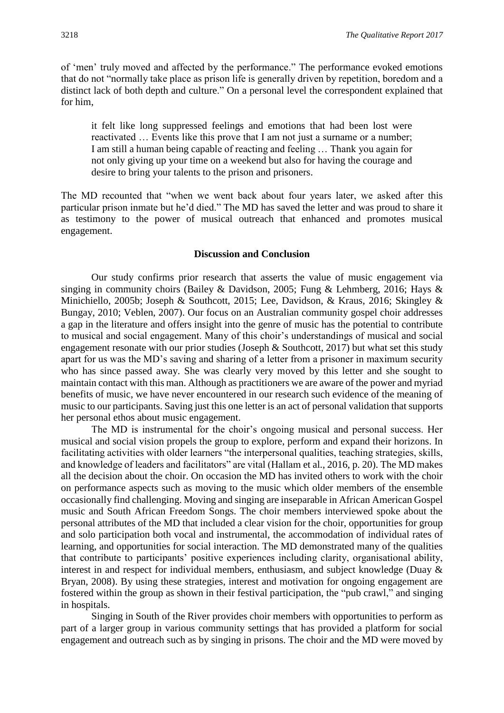of 'men' truly moved and affected by the performance." The performance evoked emotions that do not "normally take place as prison life is generally driven by repetition, boredom and a distinct lack of both depth and culture." On a personal level the correspondent explained that for him,

it felt like long suppressed feelings and emotions that had been lost were reactivated … Events like this prove that I am not just a surname or a number; I am still a human being capable of reacting and feeling … Thank you again for not only giving up your time on a weekend but also for having the courage and desire to bring your talents to the prison and prisoners.

The MD recounted that "when we went back about four years later, we asked after this particular prison inmate but he'd died." The MD has saved the letter and was proud to share it as testimony to the power of musical outreach that enhanced and promotes musical engagement.

#### **Discussion and Conclusion**

Our study confirms prior research that asserts the value of music engagement via singing in community choirs (Bailey & Davidson, 2005; Fung & Lehmberg, 2016; Hays & Minichiello, 2005b; Joseph & Southcott, 2015; Lee, Davidson, & Kraus, 2016; Skingley & Bungay, 2010; Veblen, 2007). Our focus on an Australian community gospel choir addresses a gap in the literature and offers insight into the genre of music has the potential to contribute to musical and social engagement. Many of this choir's understandings of musical and social engagement resonate with our prior studies (Joseph & Southcott, 2017) but what set this study apart for us was the MD's saving and sharing of a letter from a prisoner in maximum security who has since passed away. She was clearly very moved by this letter and she sought to maintain contact with this man. Although as practitioners we are aware of the power and myriad benefits of music, we have never encountered in our research such evidence of the meaning of music to our participants. Saving just this one letter is an act of personal validation that supports her personal ethos about music engagement.

The MD is instrumental for the choir's ongoing musical and personal success. Her musical and social vision propels the group to explore, perform and expand their horizons. In facilitating activities with older learners "the interpersonal qualities, teaching strategies, skills, and knowledge of leaders and facilitators" are vital (Hallam et al., 2016, p. 20). The MD makes all the decision about the choir. On occasion the MD has invited others to work with the choir on performance aspects such as moving to the music which older members of the ensemble occasionally find challenging. Moving and singing are inseparable in African American Gospel music and South African Freedom Songs. The choir members interviewed spoke about the personal attributes of the MD that included a clear vision for the choir, opportunities for group and solo participation both vocal and instrumental, the accommodation of individual rates of learning, and opportunities for social interaction. The MD demonstrated many of the qualities that contribute to participants' positive experiences including clarity, organisational ability, interest in and respect for individual members, enthusiasm, and subject knowledge (Duay & Bryan, 2008). By using these strategies, interest and motivation for ongoing engagement are fostered within the group as shown in their festival participation, the "pub crawl," and singing in hospitals.

Singing in South of the River provides choir members with opportunities to perform as part of a larger group in various community settings that has provided a platform for social engagement and outreach such as by singing in prisons. The choir and the MD were moved by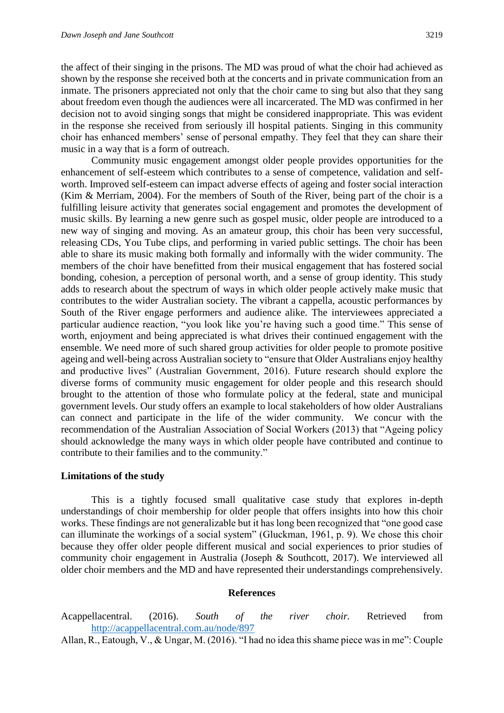the affect of their singing in the prisons. The MD was proud of what the choir had achieved as shown by the response she received both at the concerts and in private communication from an inmate. The prisoners appreciated not only that the choir came to sing but also that they sang about freedom even though the audiences were all incarcerated. The MD was confirmed in her decision not to avoid singing songs that might be considered inappropriate. This was evident in the response she received from seriously ill hospital patients. Singing in this community choir has enhanced members' sense of personal empathy. They feel that they can share their music in a way that is a form of outreach.

Community music engagement amongst older people provides opportunities for the enhancement of self-esteem which contributes to a sense of competence, validation and selfworth. Improved self-esteem can impact adverse effects of ageing and foster social interaction (Kim & Merriam, 2004). For the members of South of the River, being part of the choir is a fulfilling leisure activity that generates social engagement and promotes the development of music skills. By learning a new genre such as gospel music, older people are introduced to a new way of singing and moving. As an amateur group, this choir has been very successful, releasing CDs, You Tube clips, and performing in varied public settings. The choir has been able to share its music making both formally and informally with the wider community. The members of the choir have benefitted from their musical engagement that has fostered social bonding, cohesion, a perception of personal worth, and a sense of group identity. This study adds to research about the spectrum of ways in which older people actively make music that contributes to the wider Australian society. The vibrant a cappella, acoustic performances by South of the River engage performers and audience alike. The interviewees appreciated a particular audience reaction, "you look like you're having such a good time." This sense of worth, enjoyment and being appreciated is what drives their continued engagement with the ensemble. We need more of such shared group activities for older people to promote positive ageing and well-being across Australian society to "ensure that Older Australians enjoy healthy and productive lives" (Australian Government, 2016). Future research should explore the diverse forms of community music engagement for older people and this research should brought to the attention of those who formulate policy at the federal, state and municipal government levels. Our study offers an example to local stakeholders of how older Australians can connect and participate in the life of the wider community. We concur with the recommendation of the Australian Association of Social Workers (2013) that "Ageing policy should acknowledge the many ways in which older people have contributed and continue to contribute to their families and to the community."

#### **Limitations of the study**

This is a tightly focused small qualitative case study that explores in-depth understandings of choir membership for older people that offers insights into how this choir works. These findings are not generalizable but it has long been recognized that "one good case can illuminate the workings of a social system" (Gluckman, 1961, p. 9). We chose this choir because they offer older people different musical and social experiences to prior studies of community choir engagement in Australia (Joseph & Southcott, 2017). We interviewed all older choir members and the MD and have represented their understandings comprehensively.

#### **References**

- Acappellacentral. (2016). *South of the river choir.* Retrieved from <http://acappellacentral.com.au/node/897>
- Allan, R., Eatough, V., & Ungar, M. (2016). "I had no idea this shame piece was in me": Couple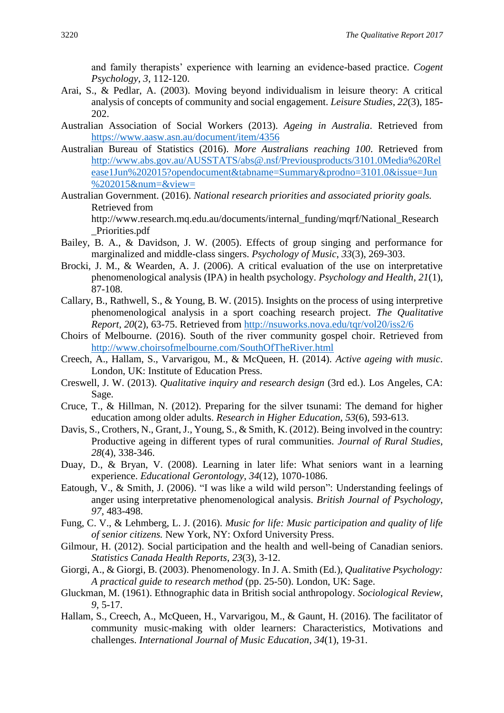and family therapists' experience with learning an evidence-based practice. *Cogent Psychology*, *3*, 112-120.

- Arai, S., & Pedlar, A. (2003). Moving beyond individualism in leisure theory: A critical analysis of concepts of community and social engagement. *Leisure Studies*, *22*(3)*,* 185- 202.
- Australian Association of Social Workers (2013). *Ageing in Australia*. Retrieved from <https://www.aasw.asn.au/document/item/4356>
- Australian Bureau of Statistics (2016). *More Australians reaching 100*. Retrieved from [http://www.abs.gov.au/AUSSTATS/abs@.nsf/Previousproducts/3101.0Media%20Rel](http://www.abs.gov.au/AUSSTATS/abs@.nsf/Previousproducts/3101.0Media%20Release1Jun%202015?opendocument&tabname=Summary&prodno=3101.0&issue=Jun%202015&num=&view) [ease1Jun%202015?opendocument&tabname=Summary&prodno=3101.0&issue=Jun](http://www.abs.gov.au/AUSSTATS/abs@.nsf/Previousproducts/3101.0Media%20Release1Jun%202015?opendocument&tabname=Summary&prodno=3101.0&issue=Jun%202015&num=&view) [%202015&num=&view=](http://www.abs.gov.au/AUSSTATS/abs@.nsf/Previousproducts/3101.0Media%20Release1Jun%202015?opendocument&tabname=Summary&prodno=3101.0&issue=Jun%202015&num=&view)
- Australian Government. (2016). *National research priorities and associated priority goals.*  Retrieved from

http://www.research.mq.edu.au/documents/internal\_funding/mqrf/National\_Research \_Priorities.pdf

- Bailey, B. A., & Davidson, J. W. (2005). Effects of group singing and performance for marginalized and middle-class singers. *Psychology of Music*, *33*(3), 269-303.
- Brocki, J. M., & Wearden, A. J. (2006). A critical evaluation of the use on interpretative phenomenological analysis (IPA) in health psychology. *Psychology and Health*, *21*(1), 87-108.
- Callary, B., Rathwell, S., & Young, B. W. (2015). Insights on the process of using interpretive phenomenological analysis in a sport coaching research project. *The Qualitative Report*, *20*(2), 63-75. Retrieved from<http://nsuworks.nova.edu/tqr/vol20/iss2/6>
- Choirs of Melbourne. (2016). South of the river community gospel choir. Retrieved from <http://www.choirsofmelbourne.com/SouthOfTheRiver.html>
- Creech, A., Hallam, S., Varvarigou, M., & McQueen, H. (2014). *Active ageing with music*. London, UK: Institute of Education Press.
- Creswell, J. W. (2013). *Qualitative inquiry and research design* (3rd ed.). Los Angeles, CA: Sage.
- Cruce, T., & Hillman, N. (2012). Preparing for the silver tsunami: The demand for higher education among older adults. *Research in Higher Education*, *53*(6), 593-613.
- Davis, S., Crothers, N., Grant, J., Young, S., & Smith, K. (2012). Being involved in the country: Productive ageing in different types of rural communities. *Journal of Rural Studies*, *28*(4), 338-346.
- Duay, D., & Bryan, V. (2008). Learning in later life: What seniors want in a learning experience. *Educational Gerontology*, *34*(12), 1070-1086.
- Eatough, V., & Smith, J. (2006). "I was like a wild wild person": Understanding feelings of anger using interpretative phenomenological analysis. *British Journal of Psychology*, *97*, 483-498.
- Fung, C. V., & Lehmberg, L. J. (2016). *Music for life: Music participation and quality of life of senior citizens.* New York, NY: Oxford University Press.
- Gilmour, H. (2012). Social participation and the health and well-being of Canadian seniors. *Statistics Canada Health Reports*, *23*(3), 3-12.
- Giorgi, A., & Giorgi, B. (2003). Phenomenology. In J. A. Smith (Ed*.*), *Qualitative Psychology: A practical guide to research method* (pp. 25-50). London, UK: Sage.
- Gluckman, M. (1961). Ethnographic data in British social anthropology. *Sociological Review*, *9*, 5-17.
- Hallam, S., Creech, A., McQueen, H., Varvarigou, M., & Gaunt, H. (2016). The facilitator of community music-making with older learners: Characteristics, Motivations and challenges. *International Journal of Music Education*, *34*(1), 19-31.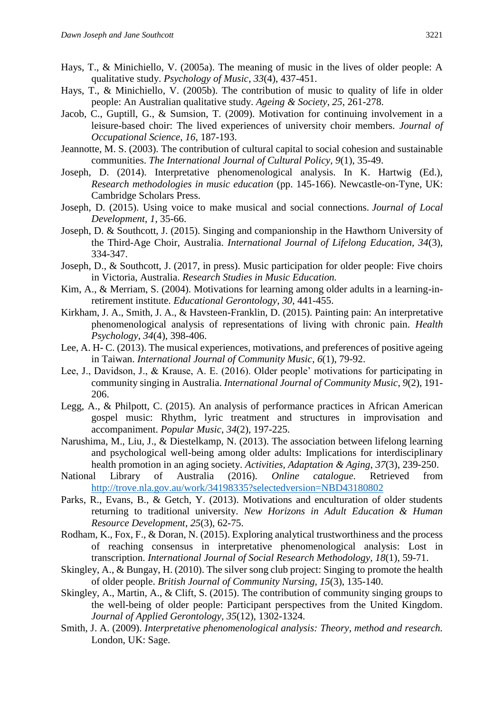- Hays, T., & Minichiello, V. (2005a). The meaning of music in the lives of older people: A qualitative study. *Psychology of Music*, *33*(4), 437-451.
- Hays, T., & Minichiello, V. (2005b). The contribution of music to quality of life in older people: An Australian qualitative study. *Ageing & Society*, *25*, 261-278.
- Jacob, C., Guptill, G., & Sumsion, T. (2009). Motivation for continuing involvement in a leisure-based choir: The lived experiences of university choir members. *Journal of Occupational Science*, *16*, 187-193.
- Jeannotte, M. S. (2003). The contribution of cultural capital to social cohesion and sustainable communities. *The International Journal of Cultural Policy*, *9*(1), 35-49.
- Joseph, D. (2014). Interpretative phenomenological analysis. In K. Hartwig (Ed.), *Research methodologies in music education* (pp. 145-166). Newcastle-on-Tyne, UK: Cambridge Scholars Press.
- Joseph, D. (2015). Using voice to make musical and social connections. *Journal of Local Development*, *1*, 35-66.
- Joseph, D. & Southcott, J. (2015). Singing and companionship in the Hawthorn University of the Third-Age Choir, Australia. *International Journal of Lifelong Education, 34*(3), 334-347.
- Joseph, D., & Southcott, J. (2017, in press). Music participation for older people: Five choirs in Victoria, Australia. *Research Studies in Music Education.*
- Kim, A., & Merriam, S. (2004). Motivations for learning among older adults in a learning-inretirement institute. *Educational Gerontology*, *30*, 441-455.
- Kirkham, J. A., Smith, J. A., & Havsteen-Franklin, D. (2015). Painting pain: An interpretative phenomenological analysis of representations of living with chronic pain. *Health Psychology*, *34*(4), 398-406.
- Lee, A. H- C. (2013). The musical experiences, motivations, and preferences of positive ageing in Taiwan. *International Journal of Community Music*, *6*(1), 79-92.
- Lee, J., Davidson, J., & Krause, A. E. (2016). Older people' motivations for participating in community singing in Australia. *International Journal of Community Music*, *9*(2), 191- 206.
- Legg, A., & Philpott, C. (2015). An analysis of performance practices in African American gospel music: Rhythm, lyric treatment and structures in improvisation and accompaniment. *Popular Music*, *34*(2), 197-225.
- Narushima, M., Liu, J., & Diestelkamp, N. (2013). The association between lifelong learning and psychological well-being among older adults: Implications for interdisciplinary health promotion in an aging society. *Activities, Adaptation & Aging*, *37*(3), 239-250.
- National Library of Australia (2016). *Online catalogue*. Retrieved from <http://trove.nla.gov.au/work/34198335?selectedversion=NBD43180802>
- Parks, R., Evans, B., & Getch, Y. (2013). Motivations and enculturation of older students returning to traditional university. *New Horizons in Adult Education & Human Resource Development*, *25*(3), 62-75.
- Rodham, K., Fox, F., & Doran, N. (2015). Exploring analytical trustworthiness and the process of reaching consensus in interpretative phenomenological analysis: Lost in transcription. *International Journal of Social Research Methodology*, *18*(1), 59-71.
- Skingley, A., & Bungay, H. (2010). The silver song club project: Singing to promote the health of older people. *British Journal of Community Nursing, 15*(3), 135-140.
- Skingley, A., Martin, A., & Clift, S. (2015). The contribution of community singing groups to the well-being of older people: Participant perspectives from the United Kingdom. *Journal of Applied Gerontology, 35*(12), 1302-1324.
- Smith, J. A. (2009). *Interpretative phenomenological analysis: Theory, method and research.*  London, UK: Sage.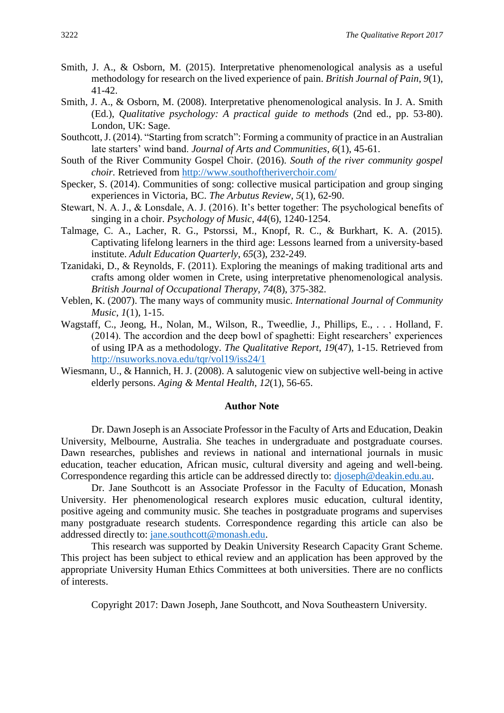- Smith, J. A., & Osborn, M. (2015). Interpretative phenomenological analysis as a useful methodology for research on the lived experience of pain. *British Journal of Pain*, *9*(1), 41-42.
- Smith, J. A., & Osborn, M. (2008). Interpretative phenomenological analysis. In J. A. Smith (Ed.), *Qualitative psychology: A practical guide to methods* (2nd ed., pp. 53-80). London, UK: Sage.
- Southcott, J. (2014). "Starting from scratch": Forming a community of practice in an Australian late starters' wind band. *Journal of Arts and Communities*, *6*(1), 45-61.
- South of the River Community Gospel Choir. (2016). *South of the river community gospel choir.* Retrieved from<http://www.southoftheriverchoir.com/>
- Specker, S. (2014). Communities of song: collective musical participation and group singing experiences in Victoria, BC. *The Arbutus Review*, *5*(1), 62-90.
- Stewart, N. A. J., & Lonsdale, A. J. (2016). It's better together: The psychological benefits of singing in a choir. *Psychology of Music*, *44*(6), 1240-1254.
- Talmage, C. A., Lacher, R. G., Pstorssi, M., Knopf, R. C., & Burkhart, K. A. (2015). Captivating lifelong learners in the third age: Lessons learned from a university-based institute. *Adult Education Quarterly*, *65*(3), 232-249.
- Tzanidaki, D., & Reynolds, F. (2011). Exploring the meanings of making traditional arts and crafts among older women in Crete, using interpretative phenomenological analysis. *British Journal of Occupational Therapy*, *74*(8), 375-382.
- Veblen, K. (2007). The many ways of community music. *International Journal of Community Music*, *1*(1), 1-15.
- Wagstaff, C., Jeong, H., Nolan, M., Wilson, R., Tweedlie, J., Phillips, E., . . . Holland, F. (2014). The accordion and the deep bowl of spaghetti: Eight researchers' experiences of using IPA as a methodology. *The Qualitative Report*, *19*(47), 1-15. Retrieved from <http://nsuworks.nova.edu/tqr/vol19/iss24/1>
- Wiesmann, U., & Hannich, H. J. (2008). A salutogenic view on subjective well-being in active elderly persons. *Aging & Mental Health*, *12*(1), 56-65.

#### **Author Note**

Dr. Dawn Joseph is an Associate Professor in the Faculty of Arts and Education, Deakin University, Melbourne, Australia. She teaches in undergraduate and postgraduate courses. Dawn researches, publishes and reviews in national and international journals in music education, teacher education, African music, cultural diversity and ageing and well-being. Correspondence regarding this article can be addressed directly to: [djoseph@deakin.edu.au.](mailto:djoseph@deakin.edu.au)

Dr. Jane Southcott is an Associate Professor in the Faculty of Education, Monash University. Her phenomenological research explores music education, cultural identity, positive ageing and community music. She teaches in postgraduate programs and supervises many postgraduate research students. Correspondence regarding this article can also be addressed directly to: [jane.southcott@monash.edu.](mailto:jane.southcott@monash.edu)

This research was supported by Deakin University Research Capacity Grant Scheme. This project has been subject to ethical review and an application has been approved by the appropriate University Human Ethics Committees at both universities. There are no conflicts of interests.

Copyright 2017: Dawn Joseph, Jane Southcott, and Nova Southeastern University.